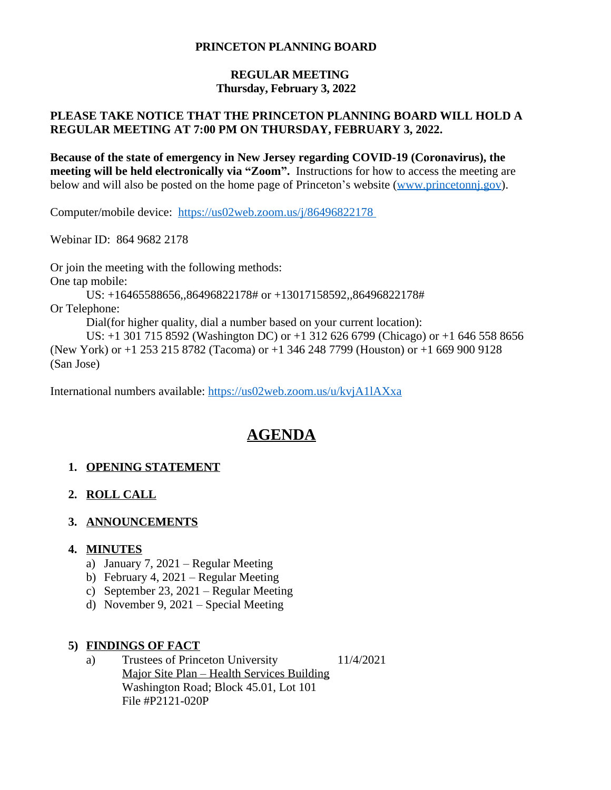#### **PRINCETON PLANNING BOARD**

#### **REGULAR MEETING Thursday, February 3, 2022**

## **PLEASE TAKE NOTICE THAT THE PRINCETON PLANNING BOARD WILL HOLD A REGULAR MEETING AT 7:00 PM ON THURSDAY, FEBRUARY 3, 2022.**

**Because of the state of emergency in New Jersey regarding COVID-19 (Coronavirus), the meeting will be held electronically via "Zoom".** Instructions for how to access the meeting are below and will also be posted on the home page of Princeton's website ([www.princetonnj.gov\)](http://www.princetonnj.gov).

Computer/mobile device: <https://us02web.zoom.us/j/86496822178>

Webinar ID: 864 9682 2178

Or join the meeting with the following methods: One tap mobile: US: +16465588656,,86496822178# or +13017158592,,86496822178# Or Telephone: Dial(for higher quality, dial a number based on your current location): US: +1 301 715 8592 (Washington DC) or +1 312 626 6799 (Chicago) or +1 646 558 8656 (New York) or +1 253 215 8782 (Tacoma) or +1 346 248 7799 (Houston) or +1 669 900 9128 (San Jose)

International numbers available: <https://us02web.zoom.us/u/kvjA1lAXxa>

# **AGENDA**

## **1. OPENING STATEMENT**

## **2. ROLL CALL**

## **3. ANNOUNCEMENTS**

#### **4. MINUTES**

- a) January 7, 2021 Regular Meeting
- b) February 4, 2021 Regular Meeting
- c) September 23, 2021 Regular Meeting
- d) November 9, 2021 Special Meeting

#### **5) FINDINGS OF FACT**

a) Trustees of Princeton University 11/4/2021 Major Site Plan – Health Services Building Washington Road; Block 45.01, Lot 101 File #P2121-020P